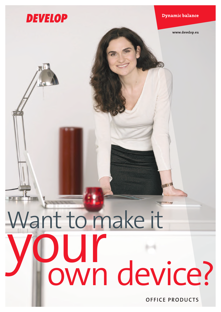

OFFICE PRODUCTS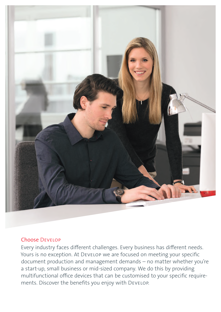

# Choose Develop

Every industry faces diferent challenges. Every business has diferent needs. Yours is no exception. At DEVELOP we are focused on meeting your specific document production and management demands – no matter whether you're a start-up, small business or mid-sized company. We do this by providing multifunctional office devices that can be customised to your specific requirements. Discover the benefits you enjoy with DEVELOP.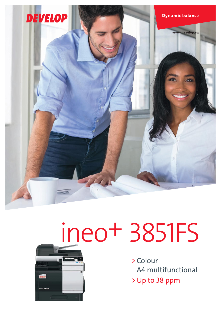

# ineo+ 3851FS



> Colour A4 multifunctional > Up to 38 ppm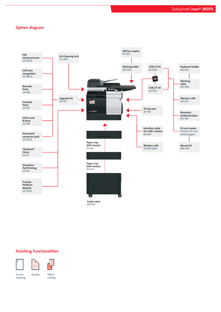## Option diagram



## Finishing functionalities





Corner Duplex stapling

**Offset** 

sorting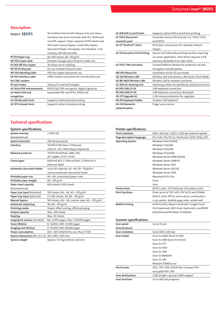# **Description**

| ineo+ 3851FS                  | A4 multifunctional with 38 ppm b/w and colour.      |
|-------------------------------|-----------------------------------------------------|
|                               | Standard ineo print controller with PCL, PostScript |
|                               | and XPS support. Paper capacity of 550 sheets and   |
|                               | 100-sheet manual bypass. Automatic duplex           |
|                               | document feeder and duplex unit standard. 2 GB      |
|                               | memory, 250 GB hard disk.                           |
| PF-P13 Paper tray             | A4, 500 sheets, 60 - 90 g/m <sup>2</sup>            |
| DK-P03 Copier desk            | Provides storage space for print media, etc.        |
| FS-P03 Off-line stapler       | 20-sheet corner stapling                            |
| KP-101 10-Key pad             | For use instead of touchscreen                      |
| <b>WT-P02 Working table</b>   | Off-line stapler placement, etc.                    |
| <b>EK-P07 Interface cable</b> | GPRS modem connection for ineo Remote Care          |
| for CSRC modem                |                                                     |
| <b>ID</b> card reader         | Various ID card technologies                        |
| LK-102v3 PDF enhancements     | PDF/A (1b), PDF encryption, digital signature       |
| LK-105v4 OCR text             | Searchable PDF and PPTX, PDF/A (1a)                 |
| recognition                   |                                                     |
| <b>LK-106 Barcode fonts</b>   | Supports native barcode printing                    |
| <b>LK-107 Unicode fonts</b>   | Supports native Unicode printing                    |

|  |  | <b>Technical specifications</b> |  |
|--|--|---------------------------------|--|
|  |  |                                 |  |
|  |  |                                 |  |

| <b>System specifications</b>              |                                                              |
|-------------------------------------------|--------------------------------------------------------------|
| System memory                             | 2 GB/4 GB                                                    |
| (standard/max)                            |                                                              |
| <b>System hard disk</b>                   | 250 GB (standard)                                            |
| Interface                                 | 10/100/1,000-Base-T Ethernet;                                |
|                                           | USB 2.0; Wi-Fi 802.11b/g/n (optional)                        |
| <b>Network protocols</b>                  | TCP/IP (IPv4/IPv6); SMB; LPD;                                |
|                                           | IPP; SNMP; HTTP; HTTPS                                       |
| <b>Frame types</b>                        | Ethernet 802.2; Ethernet 802.3; Ethernet II;                 |
|                                           | <b>Ethernet SNAP</b>                                         |
| <b>Automatic document feeder</b>          | Up to 50 originals; A5-A4; 50-128 g/m <sup>2</sup> ;         |
|                                           | reverse automatic document feeder                            |
| Printable paper size                      | A6-A4; customised paper sizes                                |
| Printable paper weight                    | $60 - 210$ g/m <sup>2</sup>                                  |
| Paper input capacity                      | 650 sheets/1,650 sheets                                      |
| (standard/max)                            |                                                              |
| Paper tray input (standard)               | 550 sheets; $A6 - A4$ , $60 - 210$ g/m <sup>2</sup>          |
| Paper tray input (optional)               | 2 x 500 sheets; A4, 60 - 90 g/m <sup>2</sup>                 |
| <b>Manual bypass</b>                      | 100 sheets; A6 - A4; custom sizes; 60 - 210 g/m <sup>2</sup> |
| <b>Automatic duplexing</b>                | A4; $60 - 210$ g/m <sup>2</sup>                              |
| <b>Finishing modes</b>                    | Staple, offset sorting, offset grouping                      |
| Output capacity                           | Max. 250 sheets                                              |
| <b>Stapling</b>                           | Max. 50 sheets                                               |
| Copy/print volume (monthly)               | Rec. 6,500 pages; Max. <sup>1</sup> 120,000 pages            |
| <b>Toner lifetime</b>                     | K: 13,000; CMY: 12,000 pages                                 |
| Imaging unit lifetime                     | K: 70,000; CMY: 60,000 pages                                 |
| Power consumption                         | 220 - 240 V/50/60 Hz; Less than 1.7 kW                       |
| System dimensions $(W \times D \times H)$ | 555 x 584 x 603 mm                                           |
| System weight                             | Approx. 53.1 kg (without options)                            |
|                                           |                                                              |

| LK-108 OCR A and B fonts               | Supports native OCR A and B font printing         |
|----------------------------------------|---------------------------------------------------|
| LK-110v2 Document                      | Generates various file formats incl. DOCX, XLSX   |
| converter pack                         | and PDF/A                                         |
| LK-111 ThinPrint® client               | Print data compression for reduced network        |
|                                        | impact                                            |
| <b>LK-114 Serverless Pull Printing</b> | Secure and Follow Me printing solution requiring  |
|                                        | no server application. Host device requires 4 GB  |
|                                        | memory. (Available from April 2017)               |
| LK-115v2 TPM activation                | Trusted Platform Module for protection of data    |
|                                        | encryption and decryption                         |
| MK-P02 Mount kit                       | Installation kit for ID card reader               |
| <b>UK-216 Wireless LAN</b>             | Wireless LAN and wireless LAN Access Point Mode   |
| SX-BR-4600 Wireless LAN                | Wireless LAN to network connector                 |
| CU-202 Air cleaning unit               | Improving Indoor Air Quality by reduced emissions |
| EK-P05 USB I/F kit                     | USB keyboard connection                           |
| EK-PO6 USB I/F kit                     | USB keyboard connection, Bluetooth                |
| UK-211 Upgrade kit                     | 2 GB memory extension for upgrades                |
| KH-P01 Keyboard holder                 | To place USB keyboard                             |
| <b>AU-102 Biometric</b>                | Finger vein scanner                               |
| authentication                         |                                                   |

#### Printer specifications

| <b>Print resolution</b>                 | 600 x 600 dpi; 1,200 x 1,200 dpi (reduced speed)      |
|-----------------------------------------|-------------------------------------------------------|
| Page description language               | PCL 6 (XL 3.0); PCL 5c; PostScript 3 (CPSI 3016); XPS |
| <b>Operating System</b>                 | Windows Vista (32/64)                                 |
|                                         | Windows 7 (32/64)                                     |
|                                         | Windows 8 (32/64)                                     |
|                                         | Windows 10 (32/64)                                    |
|                                         | Windows Server 2008 (32/64)                           |
|                                         | Windows Server 2008 R2                                |
|                                         | <b>Windows Server 2012</b>                            |
|                                         | Windows Server 2012 R2                                |
|                                         | Windows Server 2016                                   |
|                                         | Macintosh OS X 10.x                                   |
|                                         | Linux                                                 |
|                                         | Unix                                                  |
| <b>Printer fonts</b>                    | 80 PCL Latin; 137 PostScript 3 Emulation Latin        |
| <b>Print functions</b>                  | Direct print of TIFF; XPS; PDF (v1.7) and OOXML       |
|                                         | (DOCX, XLSX, PPTX); secure print; combination;        |
|                                         | n-up; poster; booklet page order; watermark           |
| <b>Mobile Printing</b>                  | AirPrint (iOS); Mopria (Android); Google Cloud        |
|                                         | Print (optional); WiFi Direct (optional); ineoPRINT   |
|                                         | (iOS/Android/Windows 10 Mobile)                       |
|                                         |                                                       |
| <b>Scanner specifications</b>           |                                                       |
| Scan speed                              | Up to 35 ipm                                          |
| (mono/colour)<br><b>Scan resolution</b> | Up to 600 x 600 dpi                                   |
| Scan modes                              | Scan-to-eMail (Scan-to-Me)                            |
|                                         | Scan-to-SMB (Scan-to-Home)                            |
|                                         | Scan-to-FTP                                           |
|                                         | Scan-to-HDD                                           |
|                                         | Scan-to-USB                                           |
|                                         | Scan-to-WebDAV                                        |
|                                         | Scan-to-URL                                           |
|                                         | Network TWAIN scan                                    |
| <b>File formats</b>                     | JPEG; TIFF; PDF; PDF/A (1b); Compact PDF;             |
|                                         | encrypted PDF; XPS                                    |
|                                         |                                                       |

Scan destinations 2,100 (single + group); LDAP support

**Scan functions** Up to 400 job programs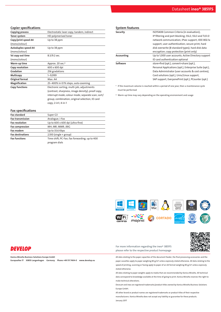#### Copier specifications

Fax specifications

| <b>Copying process</b>     | Electrostatic laser copy; tandem; indirect        |
|----------------------------|---------------------------------------------------|
| Toner system               | HD polymerised toner                              |
| Copy/print speed A4        | Up to 38 ppm                                      |
| (mono/colour)              |                                                   |
| <b>Autoduplex speed A4</b> | Up to 38 ppm                                      |
| (mono/colour)              |                                                   |
| 1st copy out time          | $8.3/9.2$ sec.                                    |
| (mono/colour)              |                                                   |
| Warm-up time               | Approx. 20 sec. <sup>2</sup>                      |
| Copy resolution            | 600 x 600 dpi                                     |
| Gradation                  | 256 gradations                                    |
| Multicopy                  | $1 - 9,999$                                       |
| Original format            | Max. A4                                           |
| Magnification              | 25-400% in 0.1% steps; auto-zooming               |
| <b>Copy functions</b>      | Electronic sorting; multi-job; adjustments        |
|                            | (contrast, sharpness, image density); proof copy; |
|                            | interrupt mode; colour mode; separate scan; sort/ |
|                            | group; combination; original selection; ID card   |
|                            | copy; 2-in1; 4-in-1                               |
|                            |                                                   |

| <b>System features</b> |                                                        |
|------------------------|--------------------------------------------------------|
| Security               | ISO15408 Common Criteria (in evaluation);              |
|                        | IP filtering and port blocking; SSL2; SSL3 and TLS1.0  |
|                        | network communication; IPsec support; IEEE 802.1x      |
|                        | support; user authentication; secure print; hard       |
|                        | disk overwrite (8 standard types); hard disk data      |
|                        | encryption; copy protection (print only)               |
| Accounting             | Up to 1,000 user accounts; Active Directory support    |
|                        | ID card authentication optional                        |
| Software               | store+find (opt.), convert+share (opt.),               |
|                        | Personal Applications (opt.), Enterprise Suite (opt.), |
|                        | Data Administrator (user accounts & cost centres),     |
|                        | Card solutions (opt.), Unix/Linux support,             |
|                        | SAP support, EveryonePrint (opt.), PCounter (opt.)     |

<sup>1</sup> If the maximum volume is reached within a period of one year, then a maintenance cycle must be performed

² Warm-up time may vary depending on the operating environment and usage

| гал эрсспісасірнэ       |                                               |
|-------------------------|-----------------------------------------------|
| <b>Fax standard</b>     | Super G3                                      |
| <b>Fax transmission</b> | Analogue; i-Fax                               |
| <b>Fax resolution</b>   | Up to 600 x 600 dpi (ultra-fine)              |
| <b>Fax compression</b>  | MH; MR; MMR; JBIG                             |
| <b>Fax modem</b>        | Up to 33.6 Kbps                               |
| <b>Fax destinations</b> | $2,100$ (single + group)                      |
| <b>Fax functions</b>    | Time shift; PC-Fax; fax forwarding; up to 400 |
|                         | program dials                                 |
|                         |                                               |



# **DEVELOP**

Konica Minolta Business Solutions Europe GmbH Europaallee 17 30855 Langenhagen Germany Phone +49 511 7404-0 www.develop.eu For more information regarding the ineo+ 3851FS please refer to the respective product homepage

All data relating to the paper capacities of the document feeder, the final processing accessories and the paper cassettes apply to paper weighing 80 g/m² unless expressly stated otherwise. All data relating to the speed of printing, scanning or faxing apply to paper of an A4 format weighing 80 g/m<sup>2</sup> unless expressly stated otherwise.

П

All data relating to paper weights apply to media that are recommended by Konica Minolta. All technical data correspond to knowledge available at the time of going to print. Konica Minolta reserves the right to make technical alterations.

Develop and ineo are registered trademarks/product titles owned by Konica Minolta Business Solutions Europe GmbH.

All other brand or product names are registered trademarks or product titles of their respective manufacturers. Konica Minolta does not accept any liability or guarantee for these products. January 2017